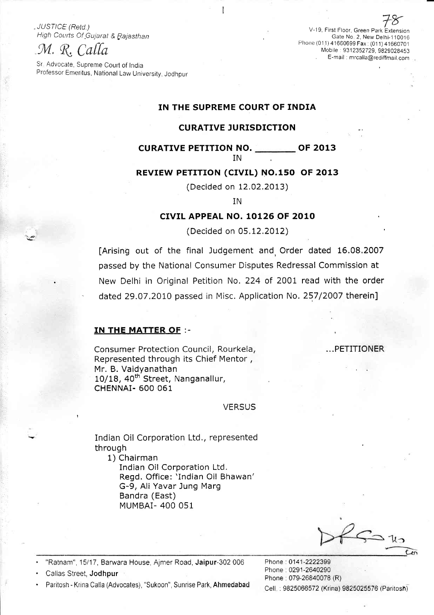### M. R. Calla

Sr Advocate, Supreme Court of India Professor Emeritus, National Law University, Jodhpur

78 USTICE: (Retd.)<br>High Courts Of Gujarat & Rajasthan Gate No 2, New Delhi-110016<br>Phone (011) 41660699 Fax: (011) 41660701 Mobile: 9312352729, 9829028453 E-marl : mrcalla@rediffmail com

### IN THE SUPREME COURT OF INDIA

### CURATIVE JURISDICTION

### CURATIVE PETITION NO. **OF 2013**

IN

### REVIEW PETITION (CIVIL) NO.150 OF 2013

(Decided on 12.02.2013)

IN

### CIVIL APPEAL NO. 10126 OF 2010

(Decided on 05.12.2012)

[Arising out of the final Judgement and, Order dated 16.08.2007 passed by the National Consumer Disputes Redressal Commission at New Delhi in Original Petition No.224 of 2001 read with the order dated 29.07.2010 passed in Misc. Application No. 257/2007 therein]

#### IN THE MATTER OF :-

Consumer Protection Council, Rourkela, The Music Research Music Protection Council, Rourkela, Represented through its Chief Mentor , Mr. B. Vaidyanathan 10/18, 40<sup>th</sup> Street, Nanganallur, CHENNAI- 600 061

**VERSUS** 

Indian Oil Corporation Ltd., represented through

1) Chairman Indian Oil Corporation Ltd. Regd. Office: 'Indian Oil Bhawan' G-9, Ali Yavar Jung Marg Bandra (East) MUMBAI- 4OO 051

• "Ratnam", 15/17, Barwara House, Ajmer Road, **Jaipur**-302 006 Phone : 0141-2222399

Paritosh - Krina Calla (Advocates), "Sukoon", Sunrise Park, Ahmedabad Cell : 9825066572 (Krina) 9825025576 (Paritosh)

Phone : 0291-2640290<br>
Callas Street, Jodhpur Phone: 079-26840078 (R)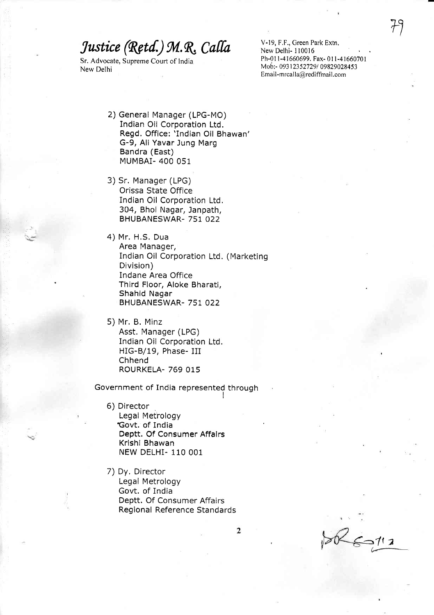Sr. Advocate, Supreme Court of India New Delhi

V-19, F.F., Green Park Extn. New Delhi- I 10016 Ph-011-41660699. Fax- 011-41660701 Mob:- 09312352729/09829028453  $Email-mrcalla@redifmail.com$ 

- 2) General Manager (LPG-MO) Indian Oil Corporation Ltd. Regd. Office: 'Indian Oil Bhawan' G-9, Ali Yavar Jung Marg Bandra (East) MUMBAI- 4OO 051
- 3) Sr. Manager (LPG) Orissa State Office Indian Oil Corporation Ltd. 304, Bhoi Nagar, Janpath, BHUBANESWAR- 751 022
- 4) Mr. H.S. Dua Area Manager, Indian Oil Corporation Ltd. (Marketing Division) Indane Area Office Third Floor, Aloke Bharati, Shahid Nagar BHUBANESWAR- 757 022
- 5) Mr. B. Minz Asst. Manager (LPG) Indian Oil Corporation Ltd. HIG-B/19, Phase- III Chhend ROURKELA- 769 015

Government of India represented through

- 6) Director Legal Metrology Govt. of India Deptt. Of Consumer Affalrs Krlshi Bhawan NEW DELHI- 110 001
- 7) DV. Director Legal Metrology Govt. of India Deptt. Of Consumer Affairs Regional Reference Standards

 $\overline{2}$ 

 $5 - 112$ (,f--

 $79-$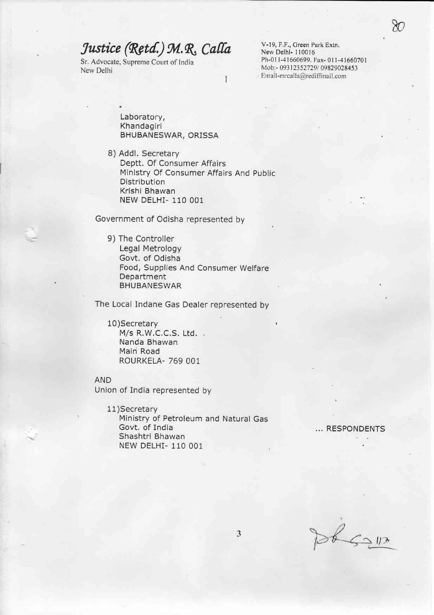Sr. Advocate, Supreme Court of India New Delhi

V-19, F,F,, Creen Park Extn, New Delhi- 110016 Ph-O1 l-41660699. Fax- 0l l-41660701 Mob:- 09312352729/09829028453  $Email-mcalla@redifimal.com$ 

Laboratory, Khandagiri BHUBANESWAR, ORISSA

8) Addl. Secretary Deptt. Of Consumer Affairs Ministry Of Consumer Affairs And public Distribution Krishi Bhawan NEW DELHI- 110 OO1

T

Government of Odisha represented by

9) The Controller Legal Metrology Govt, of Odisha Food, Supplies And Consumer Welfare Deoartment BHUBANESWAR

The Local Indane Gas Dealer represented by

10)Secretary M/s R.W.C.C.S. Ltd. Nanda Bhawan Mairi Road ROURKELA- 769 OOI

AND

.it!"

Union of India represented by

11)Secreta ry Ministry of Petroleum and Natural Gas Shashtri Bhawan NEW DELHI- 110 OO1

... RESPONDENTS

St Salls

'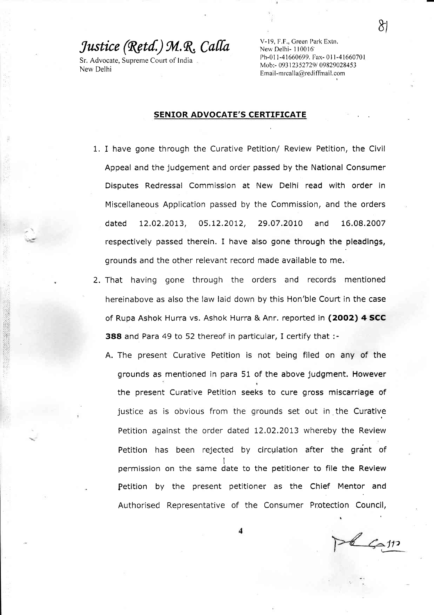Sr. Advocate, Supreme Court of India New Delhi

V-19, F.F., Green Park Extn. New Delhi- I10016' Ph-01 I -4 1660699. Fax- 01 I -41660701 Mob:- 09312352729/09829028453  $Email-mrcalla@rediffmail.com$ 

#### SENIOR ADVOCATE'S CERTIFICATE

- 1. I have gone through the Curative Petition/ Review Petition, the Civil Appeal and the judgement and order passed by the National Consumer Disputes Redressal Commission at New Delhi read with order in Miscellaneous Application passed by the Commission, and the orders dated 12.02.2OL3, 05,12.2012, 29.07.20tO and 16.08.2007 respectively passed therein. I have also gone through the pleadings, grounds and the other relevant record made available to me.
- 2. That having gone through the orders and records mentioned hereinabove as also the law laid down by this Hon'ble Court in the case of Rupa Ashok Hurra vs. Ashok Hurra & Anr. reported in (2002) 4 SCC 388 and Para 49 to 52 thereof in particular, I certify that :-
	- A. The present Curative Petition is not being filed on any of the grounds as mentioned in para 51 of the above judgment. However the present Curative Petition seeks to cure gross miscarriage of justice as is obvious from the qrounds set out in the Curative Petition against the order dated 12.02.2013 whereby the Review Petition has been rejected by circulation after the grant of permission on the same date to the petitioner to file the Review Petition by the present petitioner as the Chief Mentor and Authorised Representative of the Consumer Protection Council,

 $16.511$ 

t'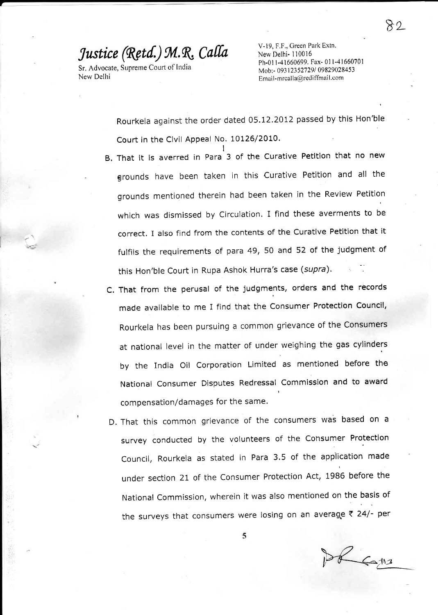Sr. Advocate, Supreme Court of India New Delhi

I

V-19, F.F., Green Park Extn. New Delhi- 110016 Ph-O1 l-41660699. Fax- 0l l-41660701 Mob:- 093 I23 527291 09829028453 Email-mrcalla@rediffmail.com

Rourkela against the order dated 05.12.2012 passed by this Hon'ble Court in the Civil Appeal No. 10126/2010.

- B, That it is averred in Para 3 of the Curative Petltion that no new grounds have been taken in this Curative Petition and all the grounds mentioned therein had been taken in the Review Petition which was dismissed by Circulation. I find these averments to be correct. Ialso find from the contents of the Curative Petition that it fulfils the requirements of para 49, 50 and 52 of the judgment of this Hon'ble Court in Rupa Ashok Hurra's case (supra).
- C. That from the perusal of the judgments, orders and the records made available to me I find that the Consumer Protection Council, Rourkela has been pursuing a common grievance of the Consumers at national level in the matter of under weighing the gas cylinders by the India Oil Corporation Limited as mentioned before the National Consumer Disputes Redressal Commission and to award t compensation/damages for the same.
- D. That this common grievance of the consumers Was based on a survey conducted by the volunteers of the Consumer Protection Council, Rourkela as stated in Para 3.5 of the application made under Section 2I of the Consumer Protection Act, 1986 before the National Commission, wherein it was also mentioned on the basis of the surveys that consumers were losing on an average  $\bar{\tau}$  24/- per

DE Cans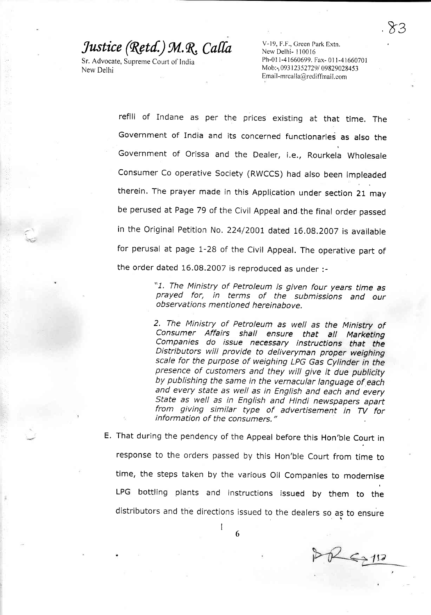Sr. Advocate, Supreme Court of India New Delhi

)i

V-19, F.F., Green Park Extn. New Delhi- I10016 Ph-011-41660699. Fax- 011-41660701 Mob:-, 09312352729/09829028453 Email-mrcalla@rediffmail.com

refill of Indane as per the prices existing at that time, The Government of India and its concerned functionaries as also the Government of Orissa and the Dealer, i.e., Rourkela Wholesale consumer co operative society (RWCCS) had also been impleaded therein. The prayer made in this Application under section 21 may be perused at Page 79 of the civil Appeal and the final order passed in the Original Petition No. 224/2001 dated 16.08.2007 is available for perusal at page 1-28 of the civil Appeal, The operative part of the order dated 16.08.2007 is reproduced as under :-

> "1. The Ministry of Petroleum is given four years time as prayed for, in terms of the submissions and our observations mentioned hereinabove.

> 2, The Ministry of petroleum as well as the Ministry of consumer Affairs shall ensure that all Marketing Companies do issue necessary instructions that the Distributors will provide to deliveryman proper weighing scale for the purpose of weighing LPG Gas Cylinder in the presence of customers and they will give it due publicity by publishing the same in the vernacular language of each and every sfafe as well as in English and each and every State as well as in English and Hindi newspapers apart from giving similar type of advertisement in TV for information of the consumers."

E. That during the pendency of the Appeal before this Hon'ble Court in response to the orders passed by this Hon'ble court from time to time, the steps taken by the various oil companies to modernise LPG bottling plants and instructions issued by them to the distributors and the directions issued to the dealers so as to ensure

I

DP 6211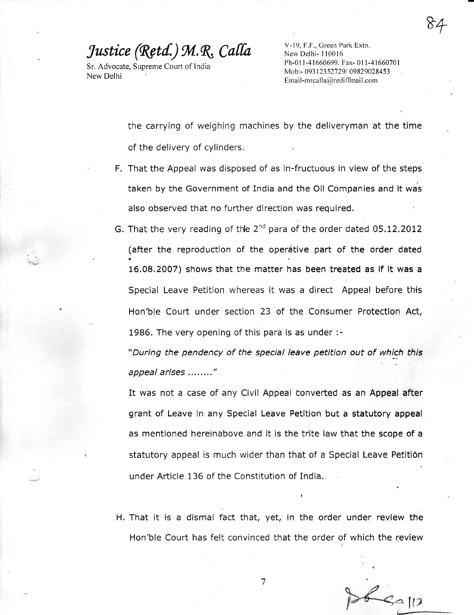$84$ 

Sr. Advocate, Supreme Court of India New Delhi

V-19, F.F., Green Park Extn. New Delhi- I 10016 Ph-01 l-41660699. Fax- 0l 1-41660701 Mob:- 09312352729/09829028453  $Email-mrcalla@redifimal.com$ 

the carrying of weighing machines by the deliveryman at the time of the delivery of cylinders.

- F. That the Appeal was disposed of as in-fructuous in view of the steps taken by the Government of India and the Oil Companies and it was also observed that no further direction was required.
- G. That the very reading of the 2 $^{\text{nd}}$  para of the order dated 05.12.2012 (after the reproduction of the operative part of the order dated 16,08.2007) shows that the matter has been treated as if it was a Special Leave Petition whereas it was a direct Appeal before this Hon'ble Court under section 23 of the Consumer Protection Act, 1986. The very opening of this para is as under :-

"During the pendency of the special leave petition out of which this appeal arises ........"

It was not a case of any Civil Appeal converted as an Appeal after grant of Leave in any Special Leave Petition but a statutory appeal as mentioned hereinabove and it is the trite law that the scope of a statutory appeal is much wider than that of a Special Leave Petition under Article 136 of the Constitution of India,

H. That it is a dismal fact that, yet, in the order under review the Hon'ble Court has felt convinced that the order of which the review

7

 $46-12$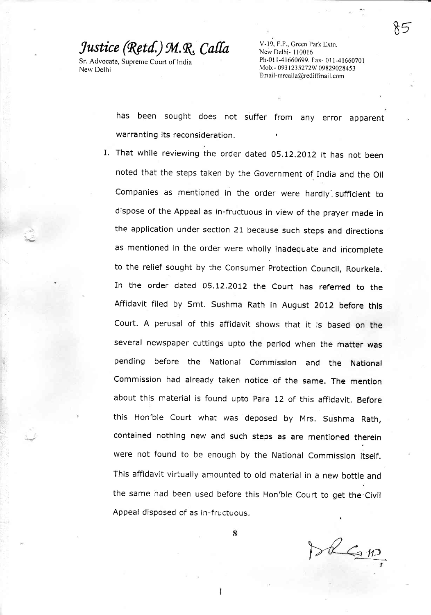Sr. Advocate, Supreme Court of India New Delhi

'ri;

V-19, F.F., Green Park Extn. New Delhi- 110016 Ph-011-41660699. Fax- 011-41660701 Mob:- 09312352729/09829028453  $E$ mail-mrcalla@rediffmail.com

has been sought does not suffer from any error apparent warranting its reconsideration.

I. That while reviewing the order dated 05,12.2012 it has not been noted that the steps taken by the Government of India and the oil Companies as mentioned in the order were hardly sufficient to dispose of the Appeal as in-fructuous in view of the prayer made in the application under section 21 because such steps and directions as mentioned in the order were wholly inadequate and incomplete to the relief sought by the consumer protection council, Rourkela. In the order dated 05.12.2012 the court has referred to the Affidavit filed by Smt. Sushma Rath in August 2012 before this court. A perusal of this affidavit shows that it is based on the several newspaper cuttings upto the period when the matter was pending before the National commission and the National commission had already taken notice of the same. The mention about this material is found upto para 12 of this affidavit, Before this Hon'ble court what was deposed by Mrs. sushma Rath, contained nothing new and such steps as are mentioned thereln were not found to be enough by the National commission itself. This affidavit virtually amounted to old material in a new botfle and the same had been used before this Hon'ble court to get the civil Appeal disposed of as in-fructuous.

De GIA

1

8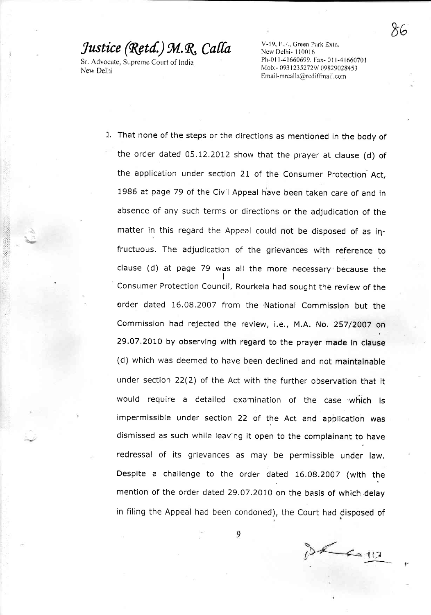Sr. Advocate, Supreme Court of India New Delhi

V-19, F,F., Creen Park Extn, New Delhi- 110016 Ph-011-41660699. Fax- 011-41660701 Mob:- 09312352729/09829028453  $Email-mrcalla@redifimal.com$ 

 $86<sup>1</sup>$ 

J. That none of the steps or the directions as mentioned in the body of the order dated 05.12.2012 show that the prayer at clause (d) of the application under section 21 of the Consumer Protection Act, 1986 at page 79 of the civil Appeal have been taken care of and in absence of any such terms or directions or the adjudication of the matter in this regard the Appeal could not be disposed of as iqfructuous. The adjudication of the grievances with reference to clause (d) at page 79 was all the more necessary because the consumer Protection council, Rourkela had sought the review of the order dated 16.08.2007 from the National Commission but the Commission had rejected the review, i.€., M.A. No. 257/ZOO7 on 29.07.2010 by observing with regard to the prayer made in clause (d) which was deemed to have been declined and not maintainable under section 22(2) of the Act with the further observation that it would require a detailed examination of the case which is impermissible under section 22 of the Act and application was dismissed as such while leaving it open to the complainant to have redressal of its grievances as may be permissible under law. Despite a challenge to the order dated 16,08.2007 (with the mention of the order dated 29.07.2010 on the basis of which delay in filing the Appeal had been condoned), the Court had disposed of

 $26.112$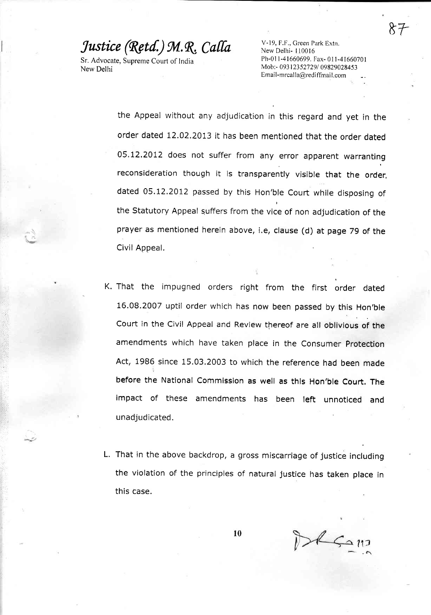Sr. Advocate, Supreme Court of India New Delhi

 $\tilde{\nu}$ 

V-19, F.F., Creen Park Extn. New Delhi- 110016 Ph-011-41660699. Fax- 011-41660701 Mob:- 09312352729/09829028453 Email-mrcalla@rediffmail.com

&r

the Appeal without any adjudication in this regard and yet in the order dated L2.02.2013 it has been mentioned that the order dated 05.12.2012 does not suffer from any error apparent warranting reconsideration though it is transparently visible that the order, dated 05.12.2012 passed by this Hon'ble court while disposing of the statutory Appeal guffers from the vice of non adjudication of the prayer as mentioned herein above, i.e, clause (d) at page 79 of the Civil Appeal.

- K. That the impugned orders right from the first order dated 16.08.2007 uptil order which has now been passed by this Hon'ble Court in the Civil Appeal and Review thereof are all oblivious of the amendments which have taken place in the consumer protection Act, 1986 since 15.03.2003 to which the reference had been made before the National Commission as well as this Hon'ble Court. The impact of these amendments has been left unnoticed and unadjudicated.
- L. That in the above backdrop, agross miscarriage of justice including the violation of the principles of natural justice has taken place in this case.

l0

BRSON